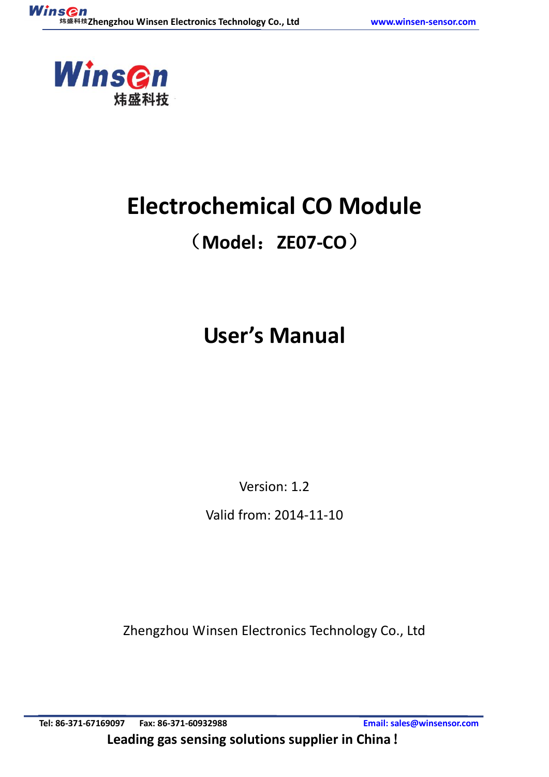

# **Electrochemical CO Module**

## (**Model**:**ZE07-CO**)

# **User's Manual**

Version: 1.2

Valid from: 2014-11-10

Zhengzhou Winsen Electronics Technology Co., Ltd

**Tel: 86-371-67169097 Fax: 86-371-60932988 Email[: sales@winsensor.com](mailto:sales@winsensor.com) Leading gas sensing solutions supplier in China**!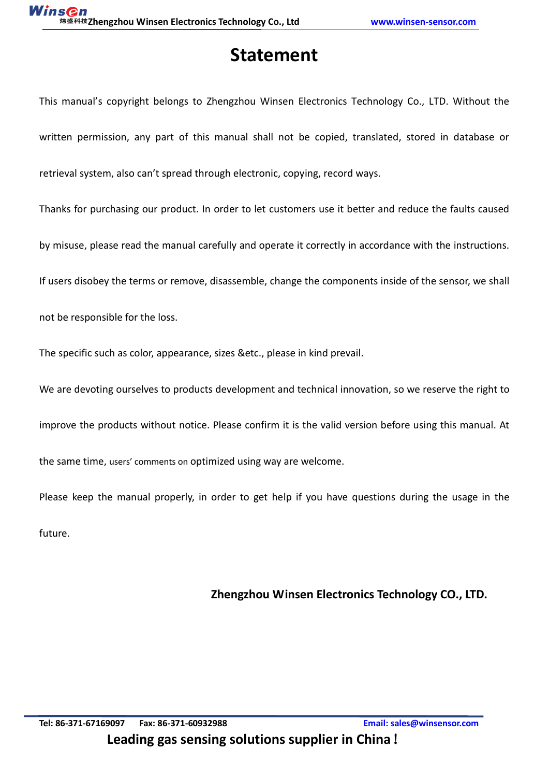## **Statement**

This manual's copyright belongs to Zhengzhou Winsen Electronics Technology Co., LTD. Without the written permission, any part of this manual shall not be copied, translated, stored in database or retrieval system, also can't spread through electronic, copying, record ways.

Thanks for purchasing our product. In order to let customers use it better and reduce the faults caused

by misuse, please read the manual carefully and operate it correctly in accordance with the instructions.

If users disobey the terms or remove, disassemble, change the components inside of the sensor, we shall

not be responsible for the loss.

The specific such as color, appearance, sizes &etc., please in kind prevail.

We are devoting ourselves to products development and technical innovation, so we reserve the right to

improve the products without notice. Please confirm it is the valid version before using this manual. At

the same time, users' comments on optimized using way are welcome.

Please keep the manual properly, in order to get help if you have questions during the usage in the future.

**Zhengzhou Winsen Electronics Technology CO., LTD.**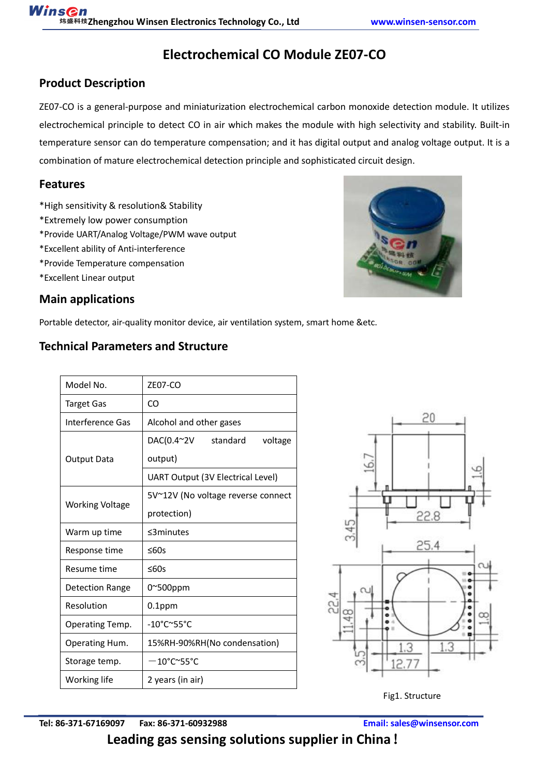## **Electrochemical CO Module ZE07-CO**

## **Product Description**

ZE07-CO is a general-purpose and miniaturization electrochemical carbon monoxide detection module. It utilizes electrochemical principle to detect CO in air which makes the module with high selectivity and stability. Built-in temperature sensor can do temperature compensation; and it has digital output and analog voltage output. It is a combination of mature electrochemical detection principle and sophisticated circuit design.

### **Features**

- \*High sensitivity & resolution& Stability
- \*Extremely low power consumption
- \*Provide UART/Analog Voltage/PWM wave output
- \*Excellent ability of Anti-interference
- \*Provide Temperature compensation
- \*Excellent Linear output

## **Main applications**

Portable detector, air-quality monitor device, air ventilation system, smart home &etc.

## **Technical Parameters and Structure**

| Model No.                        | <b>ZE07-CO</b>                           |  |  |  |  |  |  |
|----------------------------------|------------------------------------------|--|--|--|--|--|--|
| Target Gas                       | CO                                       |  |  |  |  |  |  |
| Interference Gas                 | Alcohol and other gases                  |  |  |  |  |  |  |
|                                  | DAC(0.4~2V<br>standard<br>voltage        |  |  |  |  |  |  |
| <b>Output Data</b>               | output)                                  |  |  |  |  |  |  |
|                                  | <b>UART Output (3V Electrical Level)</b> |  |  |  |  |  |  |
| <b>Working Voltage</b>           | 5V~12V (No voltage reverse connect       |  |  |  |  |  |  |
|                                  | protection)                              |  |  |  |  |  |  |
| Warm up time                     | $\leq$ 3 minutes                         |  |  |  |  |  |  |
| Response time                    | ≤60s                                     |  |  |  |  |  |  |
| Resume time                      | ≤60s                                     |  |  |  |  |  |  |
| Detection Range                  | 0~500ppm                                 |  |  |  |  |  |  |
| Resolution                       | 0.1ppm                                   |  |  |  |  |  |  |
| Operating Temp.                  | $-10^{\circ}$ C $\sim$ 55°C              |  |  |  |  |  |  |
| Operating Hum.                   | 15%RH-90%RH(No condensation)             |  |  |  |  |  |  |
| Storage temp.                    | $-10^{\circ}$ C~55°C                     |  |  |  |  |  |  |
| 2 years (in air)<br>Working life |                                          |  |  |  |  |  |  |





Fig1. Structure

**Tel: 86-371-67169097 Fax: 86-371-60932988 Email[: sales@winsensor.com](mailto:sales@winsensor.com)**

**Leading gas sensing solutions supplier in China**!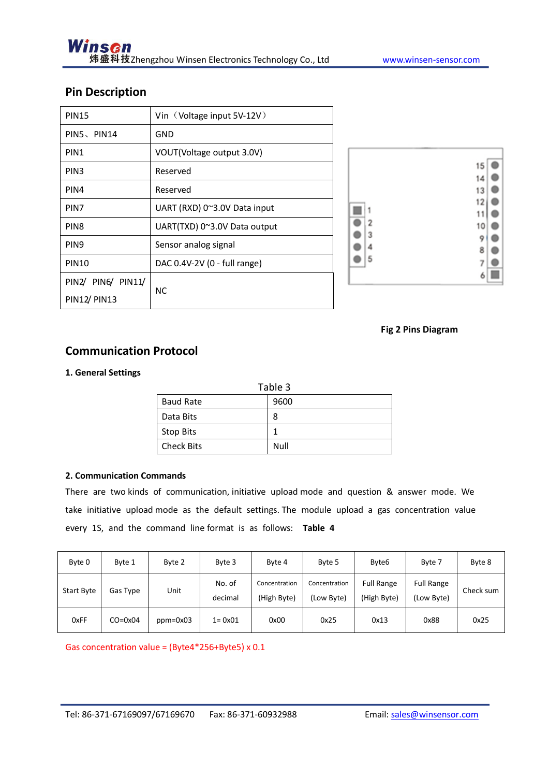### **Pin Description**

| <b>PIN15</b>        | Vin (Voltage input 5V-12V)   |
|---------------------|------------------------------|
| PIN5、PIN14          | GND                          |
| PIN1                | VOUT(Voltage output 3.0V)    |
| PIN <sub>3</sub>    | Reserved                     |
| PIN4                | Reserved                     |
| PIN7                | UART (RXD) 0~3.0V Data input |
| PIN <sub>8</sub>    | UART(TXD) 0~3.0V Data output |
| PIN <sub>9</sub>    | Sensor analog signal         |
| <b>PIN10</b>        | DAC 0.4V-2V (0 - full range) |
| PIN2/ PIN6/ PIN11/  |                              |
| <b>PIN12/ PIN13</b> | NС                           |



#### **Fig 2 Pins Diagram**

#### **Communication Protocol**

#### **1. General Settings**

| Table 3           |      |  |  |  |  |  |
|-------------------|------|--|--|--|--|--|
| <b>Baud Rate</b>  | 9600 |  |  |  |  |  |
| Data Bits         | 8    |  |  |  |  |  |
| <b>Stop Bits</b>  | 1    |  |  |  |  |  |
| <b>Check Bits</b> | Null |  |  |  |  |  |

#### **2. Communication Commands**

There are two kinds of communication, initiative upload mode and question & answer mode. We take initiative upload mode as the default settings. The module upload a gas concentration value every 1S, and the command line format is as follows: **Table 4**

| Byte 0            | Byte 1             | Byte 2     | Byte 3            | Byte 4                       | Byte 5                      | Byte <sub>6</sub>                | Byte 7                          | Byte 8    |
|-------------------|--------------------|------------|-------------------|------------------------------|-----------------------------|----------------------------------|---------------------------------|-----------|
| <b>Start Byte</b> | Gas Type           | Unit       | No. of<br>decimal | Concentration<br>(High Byte) | Concentration<br>(Low Byte) | <b>Full Range</b><br>(High Byte) | <b>Full Range</b><br>(Low Byte) | Check sum |
| 0xFF              | $CO = 0 \times 04$ | $ppm=0x03$ | $1 = 0 \times 01$ | 0x00                         | 0x25                        | 0x13                             | 0x88                            | 0x25      |

Gas concentration value = (Byte4\*256+Byte5) x 0.1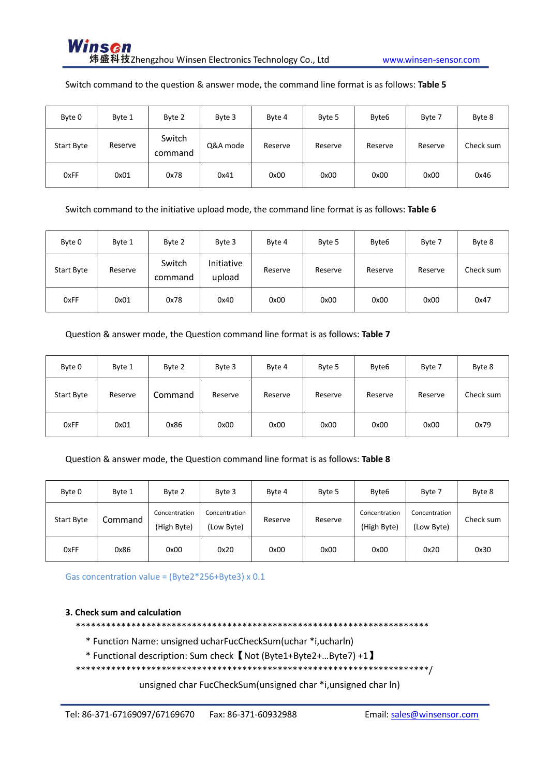#### Switch command to the question & answer mode, the command line format is as follows: Table 5

| Byte 0            | Byte 1  | Byte 2            | Byte 3   | Byte 4  | Byte 5  | Byte <sub>6</sub> | Byte 7  | Byte 8    |
|-------------------|---------|-------------------|----------|---------|---------|-------------------|---------|-----------|
| <b>Start Byte</b> | Reserve | Switch<br>command | Q&A mode | Reserve | Reserve | Reserve           | Reserve | Check sum |
| 0xFF              | 0x01    | 0x78              | 0x41     | 0x00    | 0x00    | 0x00              | 0x00    | 0x46      |

Switch command to the initiative upload mode, the command line format is as follows: Table 6

| Byte 0            | Byte 1  | Byte 2            | Byte 3               | Byte 4  | Byte 5  | Byte <sub>6</sub> | Byte 7  | Byte 8    |
|-------------------|---------|-------------------|----------------------|---------|---------|-------------------|---------|-----------|
| <b>Start Byte</b> | Reserve | Switch<br>command | Initiative<br>upload | Reserve | Reserve | Reserve           | Reserve | Check sum |
| 0xFF              | 0x01    | 0x78              | 0x40                 | 0x00    | 0x00    | 0x00              | 0x00    | 0x47      |

Question & answer mode, the Question command line format is as follows: Table 7

| Byte 0     | Byte 1  | Byte 2  | Byte 3  | Byte 4  | Byte 5  | Byte <sub>6</sub> | Byte 7  | Byte 8    |
|------------|---------|---------|---------|---------|---------|-------------------|---------|-----------|
| Start Byte | Reserve | Command | Reserve | Reserve | Reserve | Reserve           | Reserve | Check sum |
| 0xFF       | 0x01    | 0x86    | 0x00    | 0x00    | 0x00    | 0x00              | 0x00    | 0x79      |

#### Question & answer mode, the Question command line format is as follows: Table 8

| Byte 0     | Byte 1  | Byte 2                       | Byte 3                      | Byte 4  | Byte 5  | Byte <sub>6</sub>            | Byte 7                      | Byte 8    |
|------------|---------|------------------------------|-----------------------------|---------|---------|------------------------------|-----------------------------|-----------|
| Start Byte | Command | Concentration<br>(High Byte) | Concentration<br>(Low Byte) | Reserve | Reserve | Concentration<br>(High Byte) | Concentration<br>(Low Byte) | Check sum |
| 0xFF       | 0x86    | 0x00                         | 0x20                        | 0x00    | 0x00    | 0x00                         | 0x20                        | 0x30      |

Gas concentration value = (Byte2\*256+Byte3) x 0.1

#### 3. Check sum and calculation

\* Function Name: unsigned ucharFucCheckSum(uchar \*i,ucharln)

\* Functional description: Sum check 【 Not (Byte1+Byte2+...Byte7) +1 】

unsigned char FucCheckSum(unsigned char \*i, unsigned char ln)